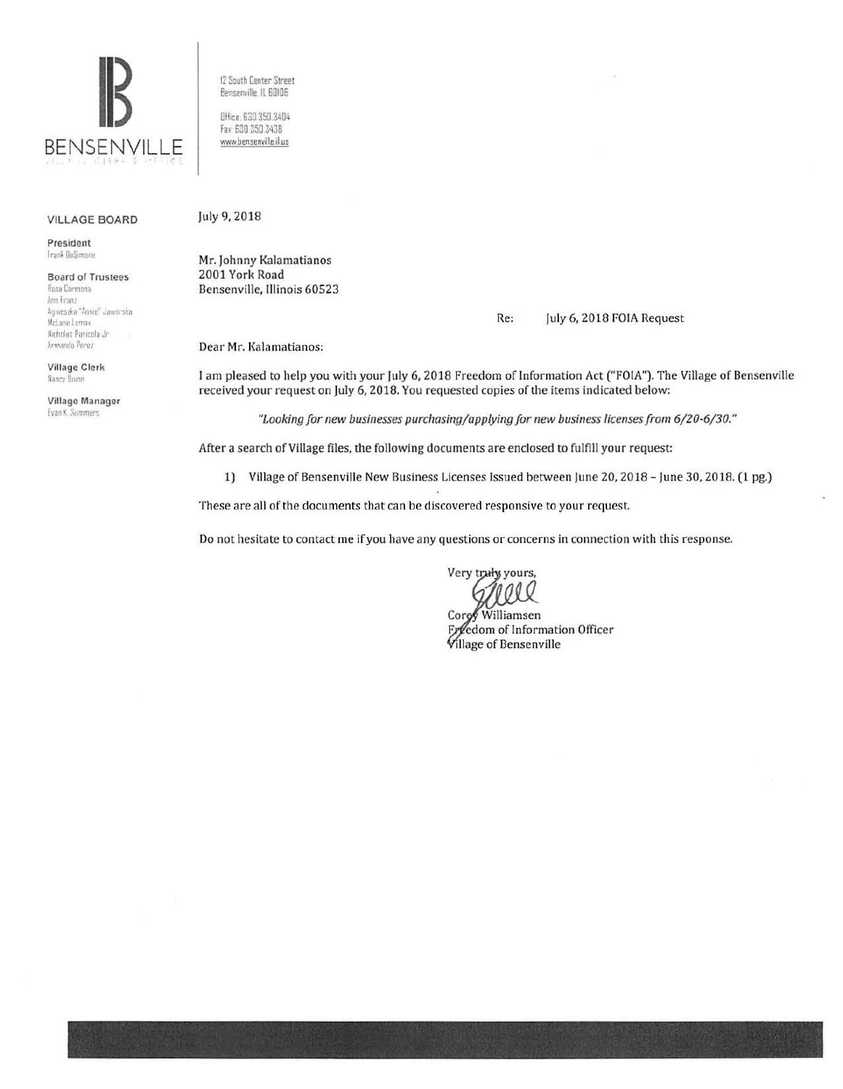

**VILLAGE BOARD** 

President Frank DeSimone

**Board of Trustees** Rosa Cormona Ann Franz Agnieszka "Annie" Jaworska McLane Lomax Nicholas Panicola Jr. Armando Perez

**Village Clerk** Nancy Buinn

Village Manager Evan K. Summers

12 South Center Street Bensenville, IL 60106

Office: 630.350.3404 Fax: 630 350 3438 www.bensenville.il.us

## July 9, 2018

Mr. Johnny Kalamatianos 2001 York Road Bensenville, Illinois 60523

## Re: July 6, 2018 FOIA Request

Dear Mr. Kalamatianos:

I am pleased to help you with your July 6, 2018 Freedom of Information Act ("FOIA"). The Village of Bensenville received your request on July 6, 2018. You requested copies of the items indicated below:

"Looking for new businesses purchasing/applying for new business licenses from 6/20-6/30."

After a search of Village files, the following documents are enclosed to fulfill your request:

1) Village of Bensenville New Business Licenses Issued between June 20, 2018 - June 30, 2018. (1 pg.)

These are all of the documents that can be discovered responsive to your request.

Do not hesitate to contact me if you have any questions or concerns in connection with this response.

Very truly yours,

Corey Williamsen Freedom of Information Officer **Village of Bensenville**